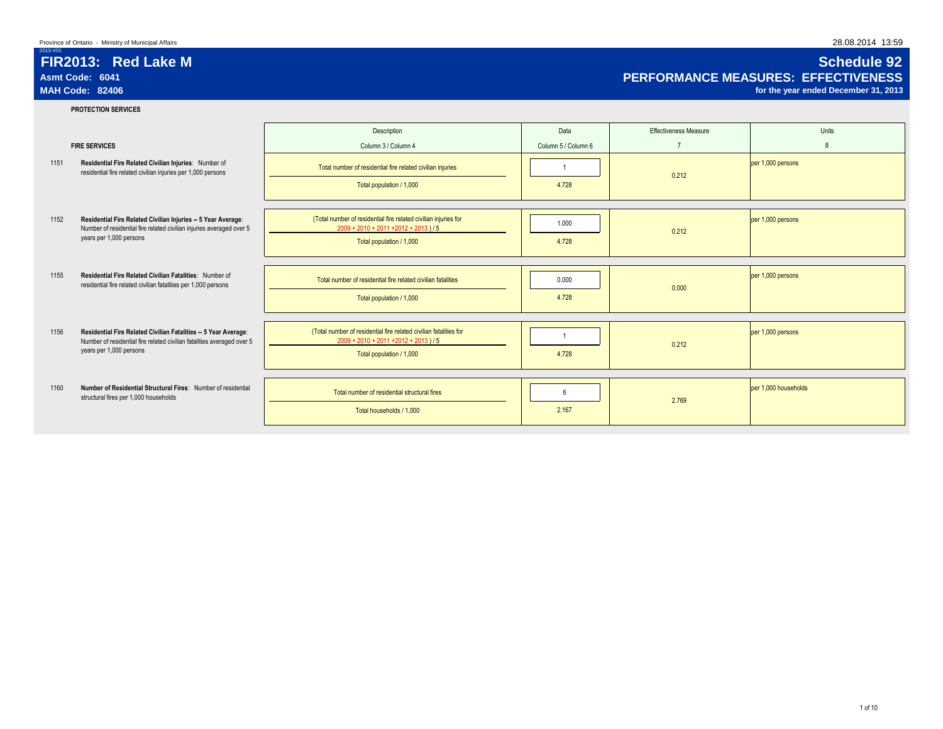# **FIR2013: Red Lake M Schedule 92** Asmt Code: 6041<br>
MAH Code: 82406 Code: 82406 Consultant Code: 82406 Code: 82406 Consultant Code: 82406 Code: 82406 Code: 82406<br>
MAH Code: 82406 Corthe year ended December 31, 2013

for the year ended December 31, 2013

2013-V01

## **PROTECTION SERVICES**

| 1151 | <b>FIRE SERVICES</b><br>Residential Fire Related Civilian Injuries: Number of<br>residential fire related civilian injuries per 1,000 persons                        | Description<br>Column 3 / Column 4<br>Total number of residential fire related civilian injuries<br>Total population / 1,000              | Data<br>Column 5 / Column 6<br>4.728 | <b>Effectiveness Measure</b><br>$\overline{7}$<br>0.212 | Units<br>8<br>per 1,000 persons |
|------|----------------------------------------------------------------------------------------------------------------------------------------------------------------------|-------------------------------------------------------------------------------------------------------------------------------------------|--------------------------------------|---------------------------------------------------------|---------------------------------|
| 1152 | Residential Fire Related Civilian Injuries -- 5 Year Average:<br>Number of residential fire related civilian injuries averaged over 5<br>years per 1,000 persons     | (Total number of residential fire related civilian injuries for<br>$2009 + 2010 + 2011 + 2012 + 2013$ )/5<br>Total population / 1,000     | 1.000<br>4.728                       | 0.212                                                   | per 1,000 persons               |
| 1155 | Residential Fire Related Civilian Fatalities: Number of<br>residential fire related civilian fatalities per 1,000 persons                                            | Total number of residential fire related civilian fatalities<br>Total population / 1,000                                                  | 0.000<br>4.728                       | 0.000                                                   | per 1,000 persons               |
| 1156 | Residential Fire Related Civilian Fatalities -- 5 Year Average:<br>Number of residential fire related civilian fatalities averaged over 5<br>years per 1,000 persons | (Total number of residential fire related civilian fatalities for<br>$2009 + 2010 + 2011 + 2012 + 2013$ ) / 5<br>Total population / 1,000 | 4.728                                | 0.212                                                   | per 1,000 persons               |
| 1160 | Number of Residential Structural Fires: Number of residential<br>structural fires per 1,000 households                                                               | Total number of residential structural fires<br>Total households / 1.000                                                                  | 6<br>2.167                           | 2.769                                                   | per 1,000 households            |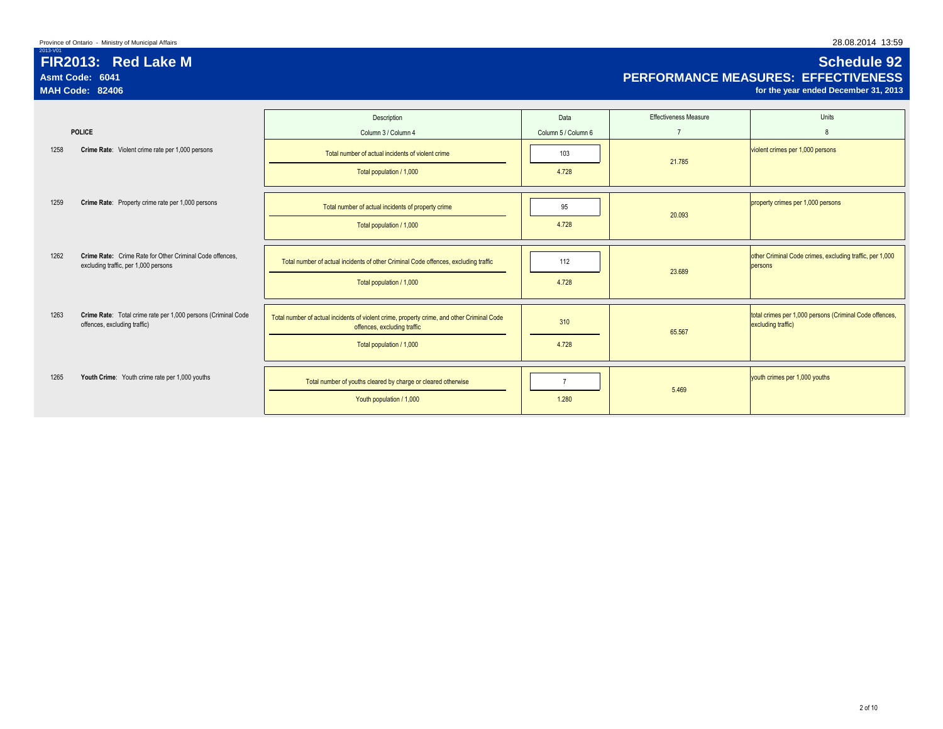| 2013-V01 | FIR2013: Red Lake M<br>Asmt Code: 6041<br><b>MAH Code: 82406</b>                                 |                                                                                                                           |                     |                       | <b>Schedule 92</b><br><b>PERFORMANCE MEASURES: EFFECTIVENESS</b><br>for the year ended December 31, 2013 |
|----------|--------------------------------------------------------------------------------------------------|---------------------------------------------------------------------------------------------------------------------------|---------------------|-----------------------|----------------------------------------------------------------------------------------------------------|
|          |                                                                                                  | Description                                                                                                               | Data                | Effectiveness Measure | Units                                                                                                    |
|          | <b>POLICE</b>                                                                                    | Column 3 / Column 4                                                                                                       | Column 5 / Column 6 |                       | 8                                                                                                        |
| 1258     | Crime Rate: Violent crime rate per 1,000 persons                                                 | Total number of actual incidents of violent crime                                                                         | 103                 | 21,785                | violent crimes per 1,000 persons                                                                         |
|          |                                                                                                  | Total population / 1,000                                                                                                  | 4.728               |                       |                                                                                                          |
| 1259     | Crime Rate: Property crime rate per 1,000 persons                                                | Total number of actual incidents of property crime                                                                        | 95                  |                       | property crimes per 1,000 persons                                                                        |
|          |                                                                                                  | Total population / 1,000                                                                                                  | 4.728               | 20.093                |                                                                                                          |
| 1262     | Crime Rate: Crime Rate for Other Criminal Code offences.<br>excluding traffic, per 1,000 persons | Total number of actual incidents of other Criminal Code offences, excluding traffic                                       | 112                 |                       | other Criminal Code crimes, excluding traffic, per 1,000<br>persons                                      |
|          |                                                                                                  | Total population / 1,000                                                                                                  | 4.728               | 23.689                |                                                                                                          |
| 1263     | Crime Rate: Total crime rate per 1,000 persons (Criminal Code<br>offences, excluding traffic)    | Total number of actual incidents of violent crime, property crime, and other Criminal Code<br>offences, excluding traffic | 310                 | 65,567                | total crimes per 1,000 persons (Criminal Code offences,<br>excluding traffic)                            |
|          |                                                                                                  | Total population / 1,000                                                                                                  | 4.728               |                       |                                                                                                          |
| 1265     | Youth Crime: Youth crime rate per 1,000 youths                                                   | Total number of youths cleared by charge or cleared otherwise                                                             |                     |                       | youth crimes per 1,000 youths                                                                            |

**The View Article 1,000** 1.280 1.280

5.469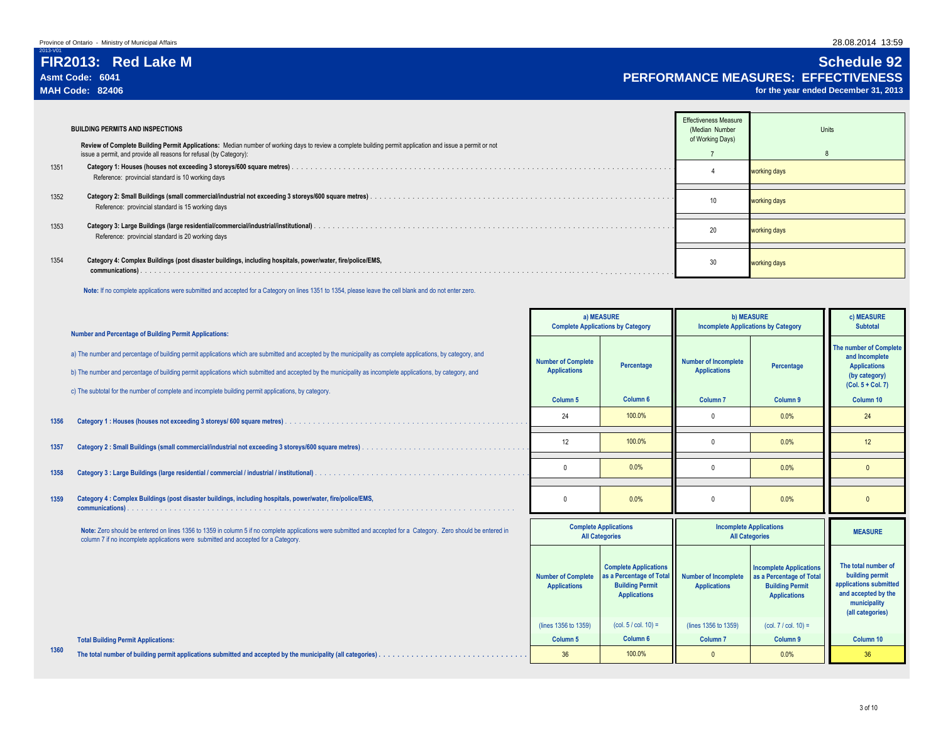2013-V01

## **FIR2013: Red Lake M Schedule 92 Asmt Code: 6041 PERFORMANCE MEASURES: EFFECTIVENESS**

for the year ended December 31, 2013

|      | <b>BUILDING PERMITS AND INSPECTIONS</b><br>Review of Complete Building Permit Applications: Median number of working days to review a complete building permit application and issue a permit or not | <b>Effectiveness Measure</b><br>(Median Number<br>of Working Days) | Units        |
|------|------------------------------------------------------------------------------------------------------------------------------------------------------------------------------------------------------|--------------------------------------------------------------------|--------------|
|      | issue a permit, and provide all reasons for refusal (by Category):                                                                                                                                   |                                                                    |              |
| 1351 | Reference: provincial standard is 10 working days                                                                                                                                                    |                                                                    | working days |
| 1352 | Reference: provincial standard is 15 working days                                                                                                                                                    | 10                                                                 | working days |
| 1353 | Reference: provincial standard is 20 working days                                                                                                                                                    | 20                                                                 | working days |
| 1354 | Category 4: Complex Buildings (post disaster buildings, including hospitals, power/water, fire/police/EMS,<br>communications).                                                                       | 30                                                                 | working days |
|      |                                                                                                                                                                                                      |                                                                    |              |

 **Note:** If no complete applications were submitted and accepted for a Category on lines 1351 to 1354, please leave the cell blank and do not enter zero.

|      | <b>Number and Percentage of Building Permit Applications:</b>                                                                                                                                                                                                                                                              |                                                  | a) MEASURE<br><b>Complete Applications by Category</b>                                                    | <b>Incomplete Applications by Category</b>         | <b>b) MEASURE</b>                                                                                           | c) MEASURE<br><b>Subtotal</b>                                                                                               |
|------|----------------------------------------------------------------------------------------------------------------------------------------------------------------------------------------------------------------------------------------------------------------------------------------------------------------------------|--------------------------------------------------|-----------------------------------------------------------------------------------------------------------|----------------------------------------------------|-------------------------------------------------------------------------------------------------------------|-----------------------------------------------------------------------------------------------------------------------------|
|      | a) The number and percentage of building permit applications which are submitted and accepted by the municipality as complete applications, by category, and<br>b) The number and percentage of building permit applications which submitted and accepted by the municipality as incomplete applications, by category, and | <b>Number of Complete</b><br><b>Applications</b> | Percentage                                                                                                | <b>Number of Incomplete</b><br><b>Applications</b> | Percentage                                                                                                  | <b>The number of Complete</b><br>and Incomplete<br><b>Applications</b><br>(by category)<br>$(Col. 5 + Col. 7)$              |
|      | c) The subtotal for the number of complete and incomplete building permit applications, by category.                                                                                                                                                                                                                       | Column <sub>5</sub>                              | Column <sub>6</sub>                                                                                       | Column <sub>7</sub>                                | Column 9                                                                                                    | Column 10                                                                                                                   |
| 1356 | Category 1: Houses (houses not exceeding 3 storeys/ 600 square metres).                                                                                                                                                                                                                                                    | 24                                               | 100.0%                                                                                                    | $\Omega$                                           | 0.0%                                                                                                        | 24                                                                                                                          |
| 1357 |                                                                                                                                                                                                                                                                                                                            | 12                                               | 100.0%                                                                                                    | $\Omega$                                           | 0.0%                                                                                                        | 12                                                                                                                          |
| 1358 |                                                                                                                                                                                                                                                                                                                            | $\Omega$                                         | 0.0%                                                                                                      | $\mathsf{O}$                                       | 0.0%                                                                                                        | $\Omega$                                                                                                                    |
| 1359 | Category 4 : Complex Buildings (post disaster buildings, including hospitals, power/water, fire/police/EMS,                                                                                                                                                                                                                |                                                  | 0.0%                                                                                                      | $\Omega$                                           | 0.0%                                                                                                        | $\mathbf{0}$                                                                                                                |
|      | Note: Zero should be entered on lines 1356 to 1359 in column 5 if no complete applications were submitted and accepted for a Category. Zero should be entered in<br>column 7 if no incomplete applications were submitted and accepted for a Category.                                                                     |                                                  | <b>Complete Applications</b><br><b>All Categories</b>                                                     |                                                    | <b>Incomplete Applications</b><br><b>All Categories</b>                                                     | <b>MEASURE</b>                                                                                                              |
|      |                                                                                                                                                                                                                                                                                                                            | <b>Number of Complete</b><br><b>Applications</b> | <b>Complete Applications</b><br>as a Percentage of Total<br><b>Building Permit</b><br><b>Applications</b> | <b>Number of Incomplete</b><br><b>Applications</b> | <b>Incomplete Applications</b><br>as a Percentage of Total<br><b>Building Permit</b><br><b>Applications</b> | The total number of<br>building permit<br>applications submitted<br>and accepted by the<br>municipality<br>(all categories) |
|      |                                                                                                                                                                                                                                                                                                                            | (lines 1356 to 1359)                             | $(col. 5 / col. 10) =$                                                                                    | (lines 1356 to 1359)                               | $(col. 7 / col. 10) =$                                                                                      |                                                                                                                             |
|      | <b>Total Building Permit Applications:</b>                                                                                                                                                                                                                                                                                 | Column <sub>5</sub>                              | Column <sub>6</sub>                                                                                       | Column <sub>7</sub>                                | Column 9                                                                                                    | Column 10                                                                                                                   |
| 1360 |                                                                                                                                                                                                                                                                                                                            | 36                                               | 100.0%                                                                                                    | $\Omega$                                           | 0.0%                                                                                                        | 36                                                                                                                          |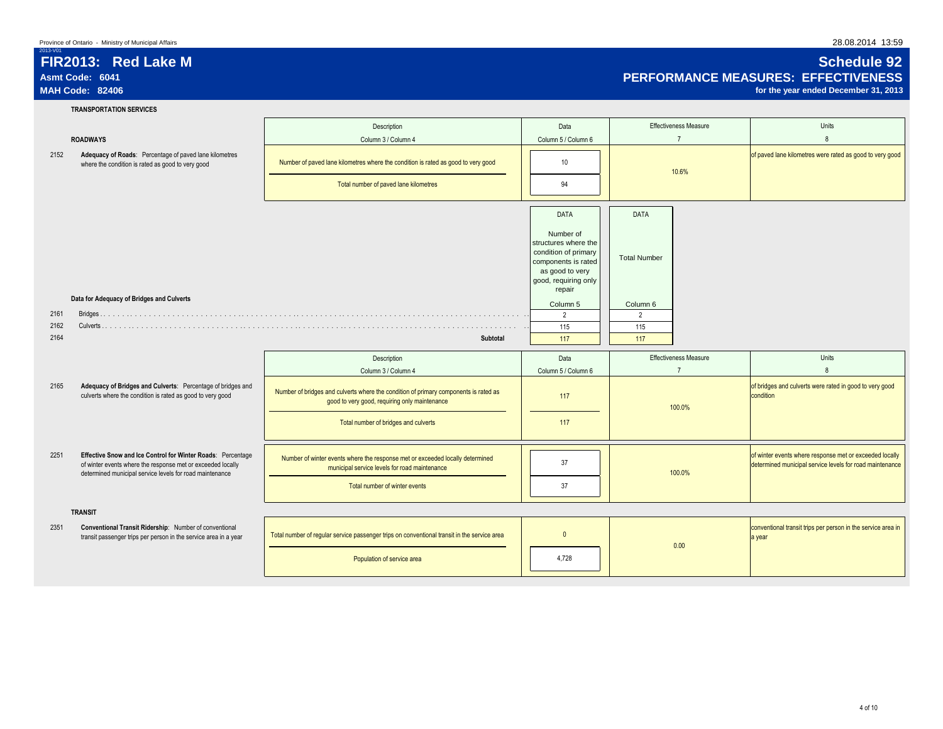# **FIR2013: Red Lake M Schedule 92** Asmt Code: 6041 **PERFORMANCE MEASURES: EFFECTIVENESS**<br>MAH Code: 82406 *performance of the year ended December* **31, 2013**

for the year ended December 31, 2013

2013-V01

## **TRANSPORTATION SERVICES**

|      |                                                                                                                                                                                        | Description                                                                                                                           | Data                                                                                                                                                 | <b>Effectiveness Measure</b>                   | Units                                                                                                               |
|------|----------------------------------------------------------------------------------------------------------------------------------------------------------------------------------------|---------------------------------------------------------------------------------------------------------------------------------------|------------------------------------------------------------------------------------------------------------------------------------------------------|------------------------------------------------|---------------------------------------------------------------------------------------------------------------------|
|      | <b>ROADWAYS</b>                                                                                                                                                                        | Column 3 / Column 4                                                                                                                   | Column 5 / Column 6                                                                                                                                  | $\overline{7}$                                 | 8                                                                                                                   |
| 2152 | Adequacy of Roads: Percentage of paved lane kilometres<br>where the condition is rated as good to very good                                                                            | Number of paved lane kilometres where the condition is rated as good to very good<br>Total number of paved lane kilometres            | 10<br>94                                                                                                                                             | 10.6%                                          | of paved lane kilometres were rated as good to very good                                                            |
|      |                                                                                                                                                                                        |                                                                                                                                       | <b>DATA</b><br>Number of<br>structures where the<br>condition of primary<br>components is rated<br>as good to very<br>good, requiring only<br>repair | <b>DATA</b><br><b>Total Number</b>             |                                                                                                                     |
|      | Data for Adequacy of Bridges and Culverts                                                                                                                                              |                                                                                                                                       | Column 5                                                                                                                                             | Column 6                                       |                                                                                                                     |
| 2161 |                                                                                                                                                                                        |                                                                                                                                       | $\overline{2}$                                                                                                                                       | $\overline{2}$                                 |                                                                                                                     |
| 2162 |                                                                                                                                                                                        |                                                                                                                                       | 115                                                                                                                                                  | 115                                            |                                                                                                                     |
| 2164 |                                                                                                                                                                                        | <b>Subtotal</b>                                                                                                                       | 117                                                                                                                                                  | 117                                            |                                                                                                                     |
|      |                                                                                                                                                                                        | Description<br>Column 3 / Column 4                                                                                                    | Data<br>Column 5 / Column 6                                                                                                                          | <b>Effectiveness Measure</b><br>$\overline{7}$ | Units<br>$\mathsf{R}$                                                                                               |
| 2165 | Adequacy of Bridges and Culverts: Percentage of bridges and<br>culverts where the condition is rated as good to very good                                                              | Number of bridges and culverts where the condition of primary components is rated as<br>good to very good, requiring only maintenance | 117                                                                                                                                                  | 100.0%                                         | of bridges and culverts were rated in good to very good<br>condition                                                |
|      |                                                                                                                                                                                        | Total number of bridges and culverts                                                                                                  | 117                                                                                                                                                  |                                                |                                                                                                                     |
| 2251 | Effective Snow and Ice Control for Winter Roads: Percentage<br>of winter events where the response met or exceeded locally<br>determined municipal service levels for road maintenance | Number of winter events where the response met or exceeded locally determined<br>municipal service levels for road maintenance        | 37                                                                                                                                                   | 100.0%                                         | of winter events where response met or exceeded locally<br>determined municipal service levels for road maintenance |
|      |                                                                                                                                                                                        | Total number of winter events                                                                                                         | 37                                                                                                                                                   |                                                |                                                                                                                     |
|      | <b>TRANSIT</b>                                                                                                                                                                         |                                                                                                                                       |                                                                                                                                                      |                                                |                                                                                                                     |
| 2351 | Conventional Transit Ridership: Number of conventional<br>transit passenger trips per person in the service area in a year                                                             | Total number of regular service passenger trips on conventional transit in the service area                                           | $\mathbf{0}$                                                                                                                                         | 0.00                                           | conventional transit trips per person in the service area in<br>a year                                              |
|      |                                                                                                                                                                                        | Population of service area                                                                                                            | 4,728                                                                                                                                                |                                                |                                                                                                                     |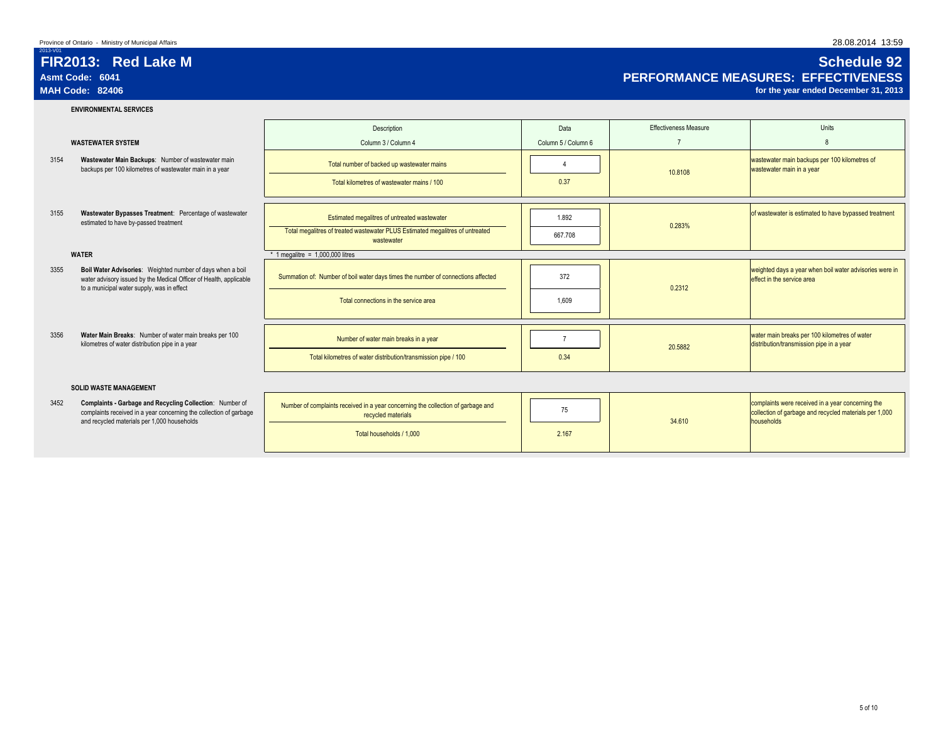## **FIR2013: Red Lake M Schedule 92** Asmt Code: 6041<br>MAH Code: 62406 **PERFORMANCE MEASURES: EFFECTIVENESS**<br>MAH Code: 82406 *per ended December 31, 2013*

for the year ended December 31, 2013

2013-V01

## **ENVIRONMENTAL SERVICES**

|                                                                                                                                                                                        | Description                                                                                 | Data                | <b>Effectiveness Measure</b> | Units                                                                                     |
|----------------------------------------------------------------------------------------------------------------------------------------------------------------------------------------|---------------------------------------------------------------------------------------------|---------------------|------------------------------|-------------------------------------------------------------------------------------------|
| <b>WASTEWATER SYSTEM</b>                                                                                                                                                               | Column 3 / Column 4                                                                         | Column 5 / Column 6 |                              |                                                                                           |
| Wastewater Main Backups: Number of wastewater main<br>3154<br>backups per 100 kilometres of wastewater main in a year                                                                  | Total number of backed up wastewater mains                                                  |                     | 10.8108                      | wastewater main backups per 100 kilometres of<br>wastewater main in a year                |
|                                                                                                                                                                                        | Total kilometres of wastewater mains / 100                                                  | 0.37                |                              |                                                                                           |
|                                                                                                                                                                                        |                                                                                             |                     |                              |                                                                                           |
| Wastewater Bypasses Treatment: Percentage of wastewater<br>3155<br>estimated to have by-passed treatment                                                                               | Estimated megalitres of untreated wastewater                                                | 1.892               | 0.283%                       | of wastewater is estimated to have bypassed treatment                                     |
|                                                                                                                                                                                        | Total megalitres of treated wastewater PLUS Estimated megalitres of untreated<br>wastewater | 667.708             |                              |                                                                                           |
| <b>WATER</b>                                                                                                                                                                           | 1 megalitre = $1,000,000$ litres                                                            |                     |                              |                                                                                           |
| Boil Water Advisories: Weighted number of days when a boil<br>3355<br>water advisory issued by the Medical Officer of Health, applicable<br>to a municipal water supply, was in effect | Summation of: Number of boil water days times the number of connections affected            | 372                 | 0.2312                       | weighted days a year when boil water advisories were in<br>effect in the service area     |
|                                                                                                                                                                                        | Total connections in the service area                                                       | 1.609               |                              |                                                                                           |
|                                                                                                                                                                                        |                                                                                             |                     |                              |                                                                                           |
| 3356<br>Water Main Breaks: Number of water main breaks per 100<br>kilometres of water distribution pipe in a year                                                                      | Number of water main breaks in a year                                                       |                     | 20,5882                      | water main breaks per 100 kilometres of water<br>distribution/transmission pipe in a year |
|                                                                                                                                                                                        | Total kilometres of water distribution/transmission pipe / 100                              | 0.34                |                              |                                                                                           |
| <b>SOLID WASTE MANAGEMENT</b>                                                                                                                                                          |                                                                                             |                     |                              |                                                                                           |

## complaints received in a year concerning the collection of garbage and recycled materials per 1,000 households

| 3452 | Complaints - Garbage and Recycling Collection: Number of<br>complaints received in a year concerning the collection of garbage<br>and recycled materials per 1,000 households | Number of complaints received in a year concerning the collection of garbage and<br>recycled materials<br>Total households / 1.000 | 2.167 | 34,610 | complaints were received in a year concerning the<br>collection of garbage and recycled materials per 1,000<br>households |
|------|-------------------------------------------------------------------------------------------------------------------------------------------------------------------------------|------------------------------------------------------------------------------------------------------------------------------------|-------|--------|---------------------------------------------------------------------------------------------------------------------------|
|      |                                                                                                                                                                               |                                                                                                                                    |       |        |                                                                                                                           |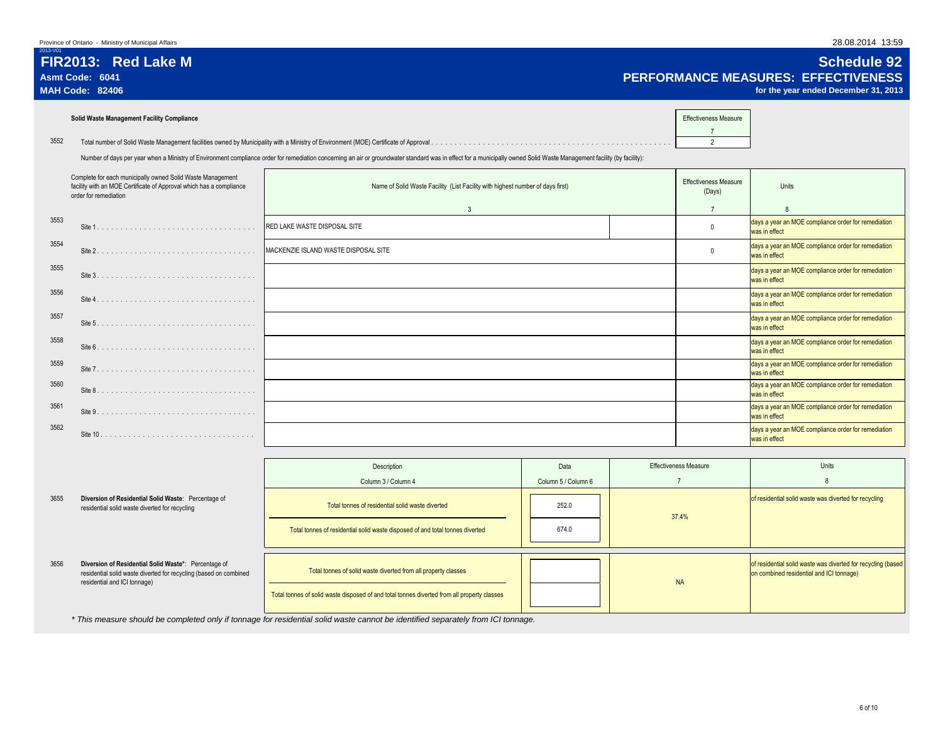| 2013-V01 | FIR2013: Red Lake M<br>Asmt Code: 6041<br><b>MAH Code: 82406</b>                                                                                           |                                                                                                                                                                                                                        |                                        | <b>Schedule 92</b><br><b>PERFORMANCE MEASURES: EFFECTIVENESS</b><br>for the year ended December 31, 2013 |
|----------|------------------------------------------------------------------------------------------------------------------------------------------------------------|------------------------------------------------------------------------------------------------------------------------------------------------------------------------------------------------------------------------|----------------------------------------|----------------------------------------------------------------------------------------------------------|
|          | Solid Waste Management Facility Compliance                                                                                                                 |                                                                                                                                                                                                                        | <b>Effectiveness Measure</b>           |                                                                                                          |
| 3552     | Total number of Solid Waste Management facilities owned by Municipality with a Ministry of Environment (MOE) Certificate of Approval.                      |                                                                                                                                                                                                                        |                                        |                                                                                                          |
|          |                                                                                                                                                            | Number of days per year when a Ministry of Environment compliance order for remediation concerning an air or groundwater standard was in effect for a municipally owned Solid Waste Management facility (by facility): |                                        |                                                                                                          |
|          | Complete for each municipally owned Solid Waste Management<br>facility with an MOE Certificate of Approval which has a compliance<br>order for remediation | Name of Solid Waste Facility (List Facility with highest number of days first)                                                                                                                                         | <b>Effectiveness Measure</b><br>(Days) | Units                                                                                                    |
|          |                                                                                                                                                            |                                                                                                                                                                                                                        |                                        |                                                                                                          |
| 3553     | Site                                                                                                                                                       | <b>IRED LAKE WASTE DISPOSAL SITE</b>                                                                                                                                                                                   |                                        | days a year an MOE compliance order for remediation<br>was in effect                                     |
| 3554     | Site 2                                                                                                                                                     | MACKENZIE ISLAND WASTE DISPOSAL SITE                                                                                                                                                                                   |                                        | days a year an MOE compliance order for remediation<br>was in effect                                     |
| 3555     | $C_{14}$ $2$                                                                                                                                               |                                                                                                                                                                                                                        |                                        | days a year an MOE compliance order for remediation                                                      |

|      | facility with an MOE Certificate of Approval which has a compliance<br>order for remediation | Name of Solid Waste Facility (List Facility with highest number of days first) | <b>Effectiveness Measure</b><br>(Days) | Units                                                                |
|------|----------------------------------------------------------------------------------------------|--------------------------------------------------------------------------------|----------------------------------------|----------------------------------------------------------------------|
|      |                                                                                              | 3                                                                              |                                        |                                                                      |
| 3553 |                                                                                              | <b>RED LAKE WASTE DISPOSAL SITE</b>                                            |                                        | days a year an MOE compliance order for remediation<br>was in effect |
| 3554 | Site 2.                                                                                      | MACKENZIE ISLAND WASTE DISPOSAL SITE                                           |                                        | days a year an MOE compliance order for remediation<br>was in effect |
| 3555 |                                                                                              |                                                                                |                                        | days a year an MOE compliance order for remediation<br>was in effect |
| 3556 | Site 4                                                                                       |                                                                                |                                        | days a year an MOE compliance order for remediation<br>was in effect |
| 3557 | Site 5.                                                                                      |                                                                                |                                        | days a year an MOE compliance order for remediation<br>was in effect |
| 3558 | Site 6.                                                                                      |                                                                                |                                        | days a year an MOE compliance order for remediation<br>was in effect |
| 3559 | Site 7                                                                                       |                                                                                |                                        | days a year an MOE compliance order for remediation<br>was in effect |
| 3560 |                                                                                              |                                                                                |                                        | days a year an MOE compliance order for remediation<br>was in effect |
| 3561 | Site 9.                                                                                      |                                                                                |                                        | days a year an MOE compliance order for remediation<br>was in effect |
| 3562 |                                                                                              |                                                                                |                                        | days a year an MOE compliance order for remediation<br>was in effect |

|      |                                                                                                                                                           | Description                                                                                 | Data                | <b>Effectiveness Measure</b> | Units                                                                                                    |
|------|-----------------------------------------------------------------------------------------------------------------------------------------------------------|---------------------------------------------------------------------------------------------|---------------------|------------------------------|----------------------------------------------------------------------------------------------------------|
|      |                                                                                                                                                           | Column 3 / Column 4                                                                         | Column 5 / Column 6 |                              |                                                                                                          |
| 3655 | Diversion of Residential Solid Waste: Percentage of<br>residential solid waste diverted for recycling                                                     | Total tonnes of residential solid waste diverted                                            | 252.0               | 37.4%                        | of residential solid waste was diverted for recycling                                                    |
|      |                                                                                                                                                           | Total tonnes of residential solid waste disposed of and total tonnes diverted               | 674.0               |                              |                                                                                                          |
| 3656 | Diversion of Residential Solid Waste*: Percentage of<br>residential solid waste diverted for recycling (based on combined<br>residential and ICI tonnage) | Total tonnes of solid waste diverted from all property classes                              |                     | <b>NA</b>                    | of residential solid waste was diverted for recycling (based<br>on combined residential and ICI tonnage) |
|      |                                                                                                                                                           | Total tonnes of solid waste disposed of and total tonnes diverted from all property classes |                     |                              |                                                                                                          |

*\* This measure should be completed only if tonnage for residential solid waste cannot be identified separately from ICI tonnage.*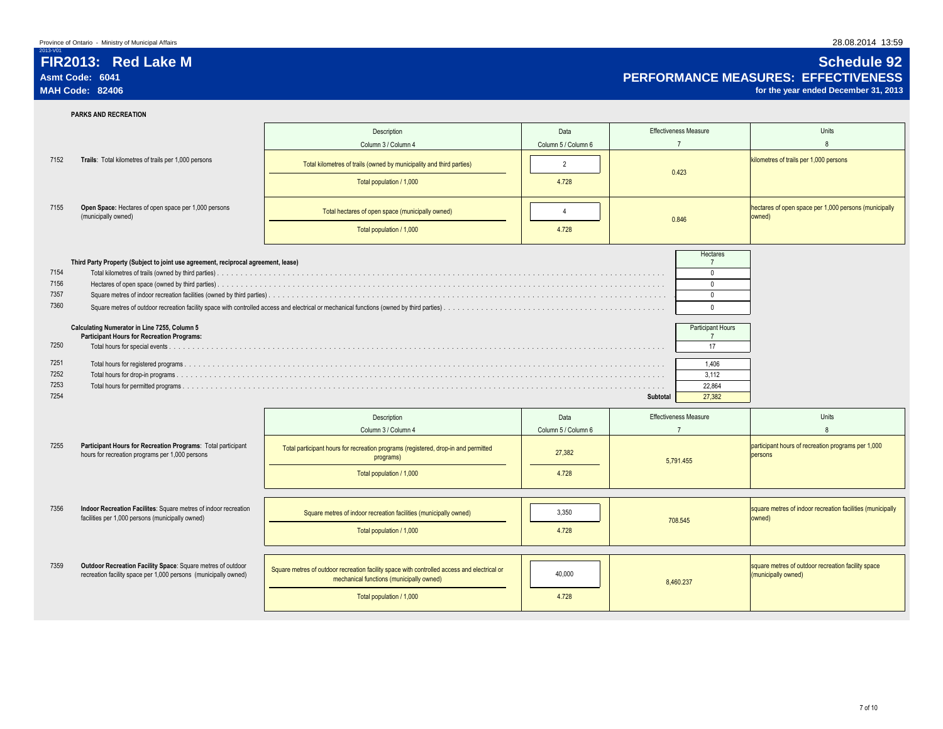**PARKS AND RECREATION**

2013-V01

|      |                                                                                                                                | Description                                                                                                                             | Data                | <b>Effectiveness Measure</b>     | Units                                                                     |  |
|------|--------------------------------------------------------------------------------------------------------------------------------|-----------------------------------------------------------------------------------------------------------------------------------------|---------------------|----------------------------------|---------------------------------------------------------------------------|--|
|      |                                                                                                                                | Column 3 / Column 4                                                                                                                     | Column 5 / Column 6 | $\overline{7}$                   | $\mathsf{R}$                                                              |  |
| 7152 | Trails: Total kilometres of trails per 1,000 persons                                                                           | Total kilometres of trails (owned by municipality and third parties)                                                                    | $\overline{2}$      | 0.423                            | kilometres of trails per 1,000 persons                                    |  |
|      |                                                                                                                                | Total population / 1,000                                                                                                                | 4.728               |                                  |                                                                           |  |
| 7155 | Open Space: Hectares of open space per 1,000 persons<br>(municipally owned)                                                    | Total hectares of open space (municipally owned)                                                                                        | $\overline{4}$      | 0.846                            | hectares of open space per 1,000 persons (municipally<br>owned)           |  |
|      |                                                                                                                                | Total population / 1,000                                                                                                                | 4.728               |                                  |                                                                           |  |
|      | Third Party Property (Subject to joint use agreement, reciprocal agreement, lease)                                             |                                                                                                                                         |                     | Hectares<br>$\overline{7}$       |                                                                           |  |
| 7154 |                                                                                                                                |                                                                                                                                         |                     | $\Omega$                         |                                                                           |  |
| 7156 |                                                                                                                                |                                                                                                                                         |                     | $\Omega$                         |                                                                           |  |
| 7357 |                                                                                                                                |                                                                                                                                         |                     | $\mathbf 0$                      |                                                                           |  |
| 7360 |                                                                                                                                |                                                                                                                                         |                     | $\mathbf{0}$                     |                                                                           |  |
|      | Calculating Numerator in Line 7255, Column 5<br><b>Participant Hours for Recreation Programs:</b>                              |                                                                                                                                         |                     | Participant Hours<br>$7^{\circ}$ |                                                                           |  |
| 7250 |                                                                                                                                |                                                                                                                                         |                     | 17                               |                                                                           |  |
| 7251 |                                                                                                                                |                                                                                                                                         |                     | 1.406                            |                                                                           |  |
| 7252 |                                                                                                                                |                                                                                                                                         |                     | 3,112                            |                                                                           |  |
| 7253 |                                                                                                                                |                                                                                                                                         |                     | 22.864                           |                                                                           |  |
| 7254 |                                                                                                                                |                                                                                                                                         |                     | 27,382<br>Subtotal               |                                                                           |  |
|      |                                                                                                                                | Description                                                                                                                             | Data                | <b>Effectiveness Measure</b>     | Units                                                                     |  |
|      |                                                                                                                                | Column 3 / Column 4                                                                                                                     | Column 5 / Column 6 | $\overline{7}$                   | 8                                                                         |  |
| 7255 | Participant Hours for Recreation Programs: Total participant<br>hours for recreation programs per 1,000 persons                | Total participant hours for recreation programs (registered, drop-in and permitted<br>programs)                                         | 27,382              | 5,791.455                        | participant hours of recreation programs per 1,000<br>persons             |  |
|      |                                                                                                                                | Total population / 1,000                                                                                                                | 4.728               |                                  |                                                                           |  |
|      |                                                                                                                                |                                                                                                                                         |                     |                                  |                                                                           |  |
| 7356 | Indoor Recreation Facilites: Square metres of indoor recreation<br>facilities per 1,000 persons (municipally owned)            | Square metres of indoor recreation facilities (municipally owned)                                                                       | 3.350               | 708.545                          | square metres of indoor recreation facilities (municipally<br>owned)      |  |
|      |                                                                                                                                | Total population / 1,000                                                                                                                | 4.728               |                                  |                                                                           |  |
|      |                                                                                                                                |                                                                                                                                         |                     |                                  |                                                                           |  |
|      |                                                                                                                                |                                                                                                                                         |                     |                                  |                                                                           |  |
| 7359 | Outdoor Recreation Facility Space: Square metres of outdoor<br>recreation facility space per 1,000 persons (municipally owned) | Square metres of outdoor recreation facility space with controlled access and electrical or<br>mechanical functions (municipally owned) | 40.000              | 8,460.237                        | square metres of outdoor recreation facility space<br>(municipally owned) |  |

# **FIR2013: Red Lake M Schedule 92** Asmt Code: 6041 **PERFORMANCE MEASURES: EFFECTIVENESS**<br>MAH Code: 82406 *performance and the searehed December* **31, 2013**

for the year ended December 31, 2013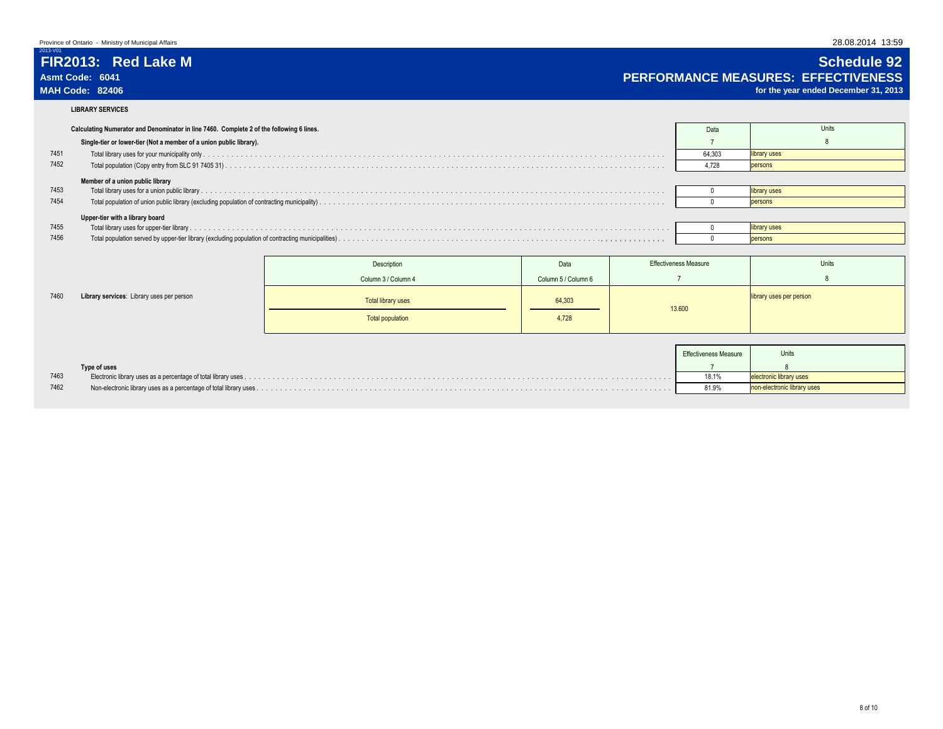2013-V01

# **FIR2013: Red Lake M Schedule 92** Asmt Code: 6041<br>MAH Code: 82406 Code: 82406 Consultant Code: 82406 Code: 82406 Consultant Code: 82406 Code: 82406 Code: 82406 Consultant Code: 82406 Code: 82406 Consultant Code: 82406 Code: 82406 Consultant Code: 82406 Cod

for the year ended December 31, 2013

**LIBRARY SERVICES**

|      | Calculating Numerator and Denominator in line 7460. Complete 2 of the following 6 lines. | Data   | Units        |
|------|------------------------------------------------------------------------------------------|--------|--------------|
|      | Single-tier or lower-tier (Not a member of a union public library).                      |        |              |
| 7451 |                                                                                          | 64.303 | library uses |
| 7452 |                                                                                          | 4.728  | persons      |
|      | Member of a union public library                                                         |        |              |
| 7453 |                                                                                          |        | library uses |
| 7454 |                                                                                          |        | persons      |
|      | Upper-tier with a library board                                                          |        |              |
| 7455 |                                                                                          |        | library uses |
| 7456 |                                                                                          |        | persons      |
|      |                                                                                          |        |              |

|      |                                           | Description         | Data                | <b>Effectiveness Measure</b> | Units                   |
|------|-------------------------------------------|---------------------|---------------------|------------------------------|-------------------------|
|      |                                           | Column 3 / Column 4 | Column 5 / Column 6 |                              |                         |
| 7460 | Library services: Library uses per person | Total library uses  | 64,303              | 13.600                       | library uses per person |
|      |                                           | Total population    | 4,728               |                              |                         |
|      |                                           |                     |                     |                              |                         |

|      |              | <b>Effectiveness Measure</b> | Units                   |
|------|--------------|------------------------------|-------------------------|
|      | Type of uses |                              |                         |
| 7463 |              | 18.1%                        | ectronic library uses   |
| 7462 |              | 81.9%                        | electronic library uses |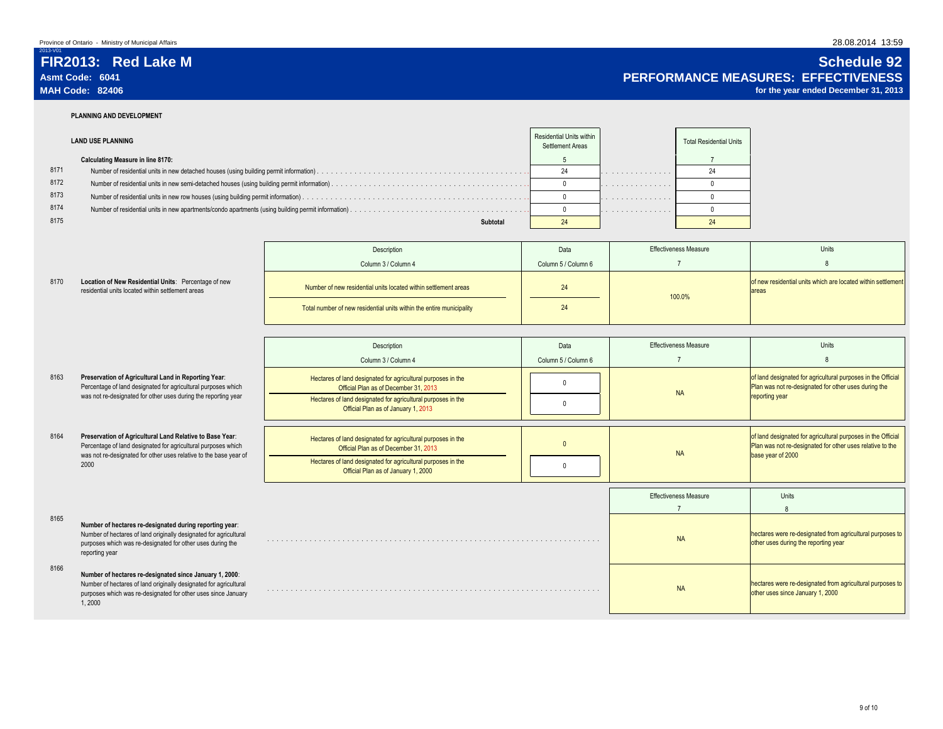## **FIR2013: Red Lake M Schedule 92 Asmt Code: 6041 PERFORMANCE MEASURES: EFFECTIVENESS**

for the year ended December 31, 2013

8 of land designated for agricultural purposes in the Official Plan was not re-designated for other uses during the

Units

2013-V01

8170

## **PLANNING AND DEVELOPMENT**

**Location of New Residential Units:** residential units located within settleme

|      | <b>LAND USE PLANNING</b>                 | Residential Units within<br>Settlement Areas |   | <b>Total Residential Units</b> |
|------|------------------------------------------|----------------------------------------------|---|--------------------------------|
|      | <b>Calculating Measure in line 8170:</b> |                                              |   |                                |
| 8171 |                                          | $\sim$                                       | . |                                |
| 8172 |                                          |                                              | . |                                |
| 8173 |                                          |                                              | . |                                |
| 8174 |                                          |                                              | . |                                |
| 8175 | Subtotal                                 |                                              |   |                                |

|                               | Description                                                          | Data                | <b>Effectiveness Measure</b> | Units                                                                  |  |
|-------------------------------|----------------------------------------------------------------------|---------------------|------------------------------|------------------------------------------------------------------------|--|
|                               | Column 3 / Column 4                                                  | Column 5 / Column 6 |                              |                                                                        |  |
| Percentage of new<br>nt areas | Number of new residential units located within settlement areas      | 24                  | 100.0%                       | of new residential units which are located within settlement<br>lareas |  |
|                               | Total number of new residential units within the entire municipality | 24                  |                              |                                                                        |  |

Description Description Data

- Column 3 / Column 4 Column 6 / Column 6 8163 Preservation of Agricultural Land in Reporting Year: Hectares of land designated for agricultural purposes in the of land designated for agricultural purposes in the control of the control of the control of the control of th<br>Official Plan as of December 31, 2013 8164 **Preservation of Agricultural Land Relative to Base Year:** Hectares of land designated for agricultural purposes in the **Preservation of Agricultural Land in Reporting Year**: Percentage of land designated for agricultural purposes which was not re-designated for other uses during the reporting year **Preservation of Agricultural Land Relative to Base Year**: Percentage of land designated for agricultural purposes which
- 8165 **Number of hectares re-designated during reporting year**: was not re-designated for other uses relative to the base year of 2000
	- Number of hectares of land originally designated for agricultural purposes which was re-designated for other uses during the reporting year
- 8166 **Number of hectares re-designated since January 1, 2000**: Number of hectares of land originally designated for agricultural purposes which was re-designated for other uses since January 1, 2000
- Hectares of land designated for agricultural purposes in the Tand designated for agricultural purposes in the the control of the control of the control of the control of the control of the control of the control of the control of the control of the control of the control of the cont official Plan as of December 31, 2013<br>Official Plan as of December 31, 2013 Hectares of land designated for agricultural purposes in the Official Plan as of January 1, 2000 <sup>0</sup> Units 8 . . . . . . . . . . . . . . . . . . . . . . . . . . . . . . . . . . . . . . . . . . . . . . . . . . . . . . . . . . . . . . . . . . . . . . . . . . . . . . . . . . . . . . . . . . . . . . . . . . . . . . . . . . . . . . . . . NA . . . . . . . . . . . . . . . . . . . . . . . . . . . . . . . . . . . . . . . . . . . . . . . . . . . . . . . . . . . . . . . . . . . . . . . . . . . . . . . . . . . . . . . . . . . . . . . . . . . . . . . . . . . . . . . . . NA Effectiveness Measure NA NA hectares were re-designated from agricultural purposes to other uses during the reporting year 7 hectares were re-designated from agricultural purposes to of land designated for agricultural purposes in the Official Plan was not re-designated for other uses relative to the base year of 2000 reporting year

7

Effectiveness Measure

other uses since January 1, 2000